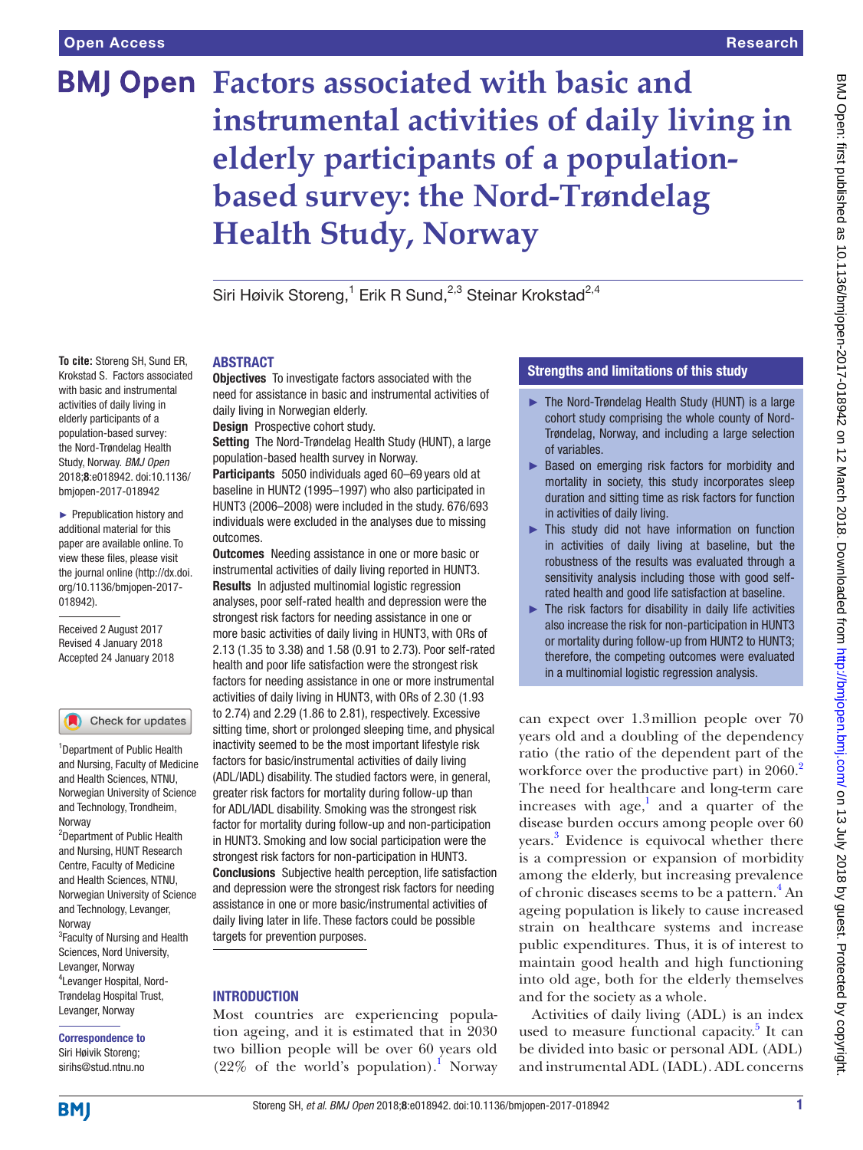**To cite:** Storeng SH, Sund ER, Krokstad S. Factors associated with basic and instrumental activities of daily living in elderly participants of a population-based survey: the Nord-Trøndelag Health Study, Norway. *BMJ Open* 2018;8:e018942. doi:10.1136/ bmjopen-2017-018942 ► Prepublication history and additional material for this paper are available online. To view these files, please visit the journal online [\(http://dx.doi.](http://dx.doi.org/10.1136/bmjopen-2017-018942) [org/10.1136/bmjopen-2017-](http://dx.doi.org/10.1136/bmjopen-2017-018942)

# **BMJ Open Factors associated with basic and instrumental activities of daily living in elderly participants of a populationbased survey: the Nord-Trøndelag Health Study, Norway**

Siri Høivik Storeng,<sup>1</sup> Erik R Sund,<sup>2,3</sup> Steinar Krokstad<sup>2,4</sup>

#### **ABSTRACT**

Objectives To investigate factors associated with the need for assistance in basic and instrumental activities of daily living in Norwegian elderly.

Design Prospective cohort study.

Setting The Nord-Trøndelag Health Study (HUNT), a large population-based health survey in Norway.

Participants 5050 individuals aged 60-69 years old at baseline in HUNT2 (1995–1997) who also participated in HUNT3 (2006–2008) were included in the study. 676/693 individuals were excluded in the analyses due to missing outcomes.

**Outcomes** Needing assistance in one or more basic or instrumental activities of daily living reported in HUNT3. Results In adjusted multinomial logistic regression analyses, poor self-rated health and depression were the strongest risk factors for needing assistance in one or more basic activities of daily living in HUNT3, with ORs of 2.13 (1.35 to 3.38) and 1.58 (0.91 to 2.73). Poor self-rated health and poor life satisfaction were the strongest risk factors for needing assistance in one or more instrumental activities of daily living in HUNT3, with ORs of 2.30 (1.93 to 2.74) and 2.29 (1.86 to 2.81), respectively. Excessive sitting time, short or prolonged sleeping time, and physical inactivity seemed to be the most important lifestyle risk factors for basic/instrumental activities of daily living (ADL/IADL) disability. The studied factors were, in general, greater risk factors for mortality during follow-up than for ADL/IADL disability. Smoking was the strongest risk factor for mortality during follow-up and non-participation in HUNT3. Smoking and low social participation were the strongest risk factors for non-participation in HUNT3. Conclusions Subjective health perception, life satisfaction and depression were the strongest risk factors for needing assistance in one or more basic/instrumental activities of daily living later in life. These factors could be possible targets for prevention purposes.

# **INTRODUCTION**

Most countries are experiencing population ageing, and it is estimated that in 2030 two billion people will be over 60 years old  $(22\% \text{ of the world's population})$ . Norway

# Strengths and limitations of this study

- ► The Nord-Trøndelag Health Study (HUNT) is a large cohort study comprising the whole county of Nord-Trøndelag, Norway, and including a large selection of variables.
- ► Based on emerging risk factors for morbidity and mortality in society, this study incorporates sleep duration and sitting time as risk factors for function in activities of daily living.
- ► This study did not have information on function in activities of daily living at baseline, but the robustness of the results was evaluated through a sensitivity analysis including those with good selfrated health and good life satisfaction at baseline.
- $\blacktriangleright$  The risk factors for disability in daily life activities also increase the risk for non-participation in HUNT3 or mortality during follow-up from HUNT2 to HUNT3; therefore, the competing outcomes were evaluated in a multinomial logistic regression analysis.

can expect over 1.3million people over 70 years old and a doubling of the dependency ratio (the ratio of the dependent part of the workforce over the productive part) in 2060.<sup>2</sup> The need for healthcare and long-term care increases with  $age<sup>1</sup>$  and a quarter of the disease burden occurs among people over 60 years. [3](#page-8-2) Evidence is equivocal whether there is a compression or expansion of morbidity among the elderly, but increasing prevalence of chronic diseases seems to be a pattern.<sup>4</sup> An ageing population is likely to cause increased strain on healthcare systems and increase public expenditures. Thus, it is of interest to maintain good health and high functioning into old age, both for the elderly themselves and for the society as a whole.

Activities of daily living (ADL) is an index used to measure functional capacity.<sup>[5](#page-8-4)</sup> It can be divided into basic or personal ADL (ADL) and instrumental ADL (IADL). ADL concerns

#### and Health Sciences, NTNU, Norwegian University of Science and Technology, Levanger,

[018942\)](http://dx.doi.org/10.1136/bmjopen-2017-018942).

**Norway** 

Received 2 August 2017 Revised 4 January 2018 Accepted 24 January 2018

<sup>1</sup>Department of Public Health and Nursing, Faculty of Medicine and Health Sciences, NTNU, Norwegian University of Science and Technology, Trondheim,

Check for updates

<sup>2</sup>Department of Public Health and Nursing, HUNT Research Centre, Faculty of Medicine

Norway <sup>3</sup> Faculty of Nursing and Health Sciences, Nord University, Levanger, Norway 4 Levanger Hospital, Nord-Trøndelag Hospital Trust, Levanger, Norway

#### Correspondence to Siri Høivik Storeng; sirihs@stud.ntnu.no

**BMI**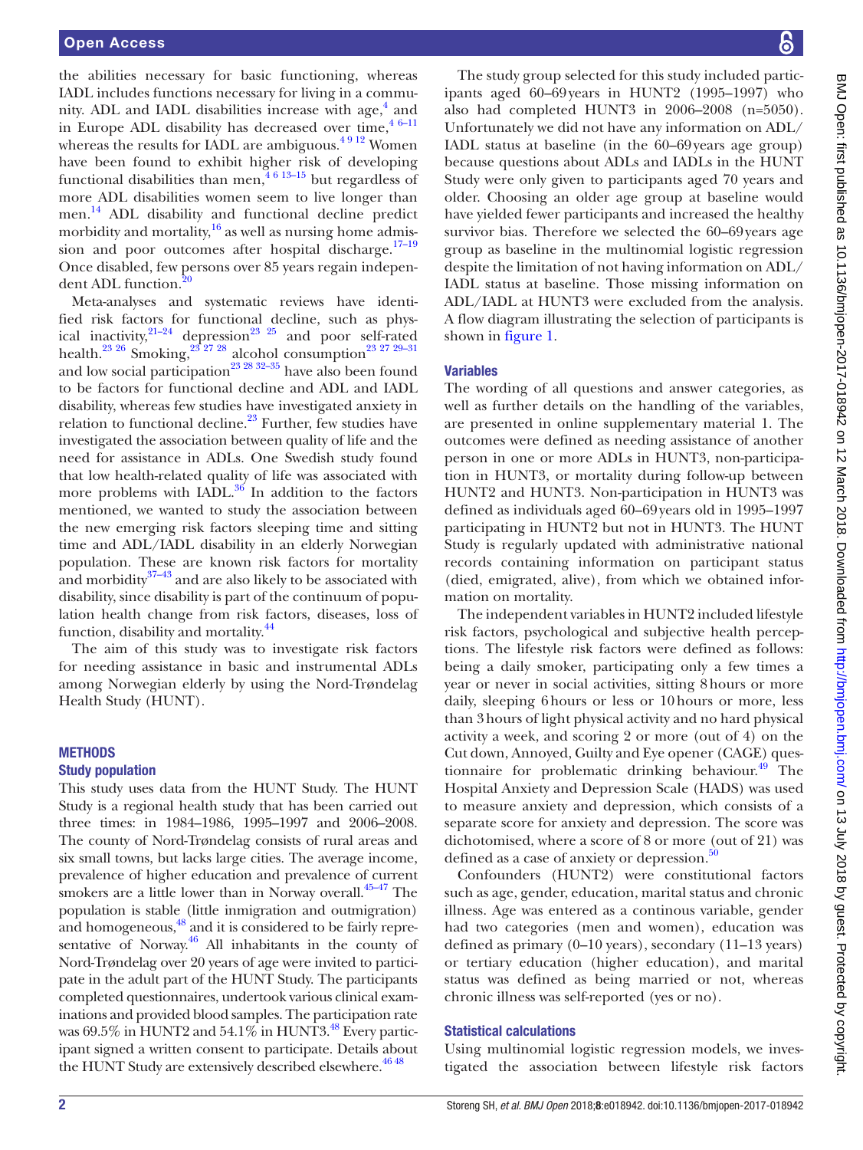the abilities necessary for basic functioning, whereas IADL includes functions necessary for living in a community. ADL and IADL disabilities increase with age,<sup>4</sup> and in Europe ADL disability has decreased over time,  $4^{6-11}$ whereas the results for IADL are ambiguous. $4912$  Women have been found to exhibit higher risk of developing functional disabilities than men,  $4613-15$  but regardless of more ADL disabilities women seem to live longer than men. [14](#page-8-5) ADL disability and functional decline predict morbidity and mortality, $16$  as well as nursing home admission and poor outcomes after hospital discharge. $17-19$ Once disabled, few persons over 85 years regain indepen-dent ADL function.<sup>[20](#page-8-8)</sup>

Meta-analyses and systematic reviews have identified risk factors for functional decline, such as physical inactivity, $2^{1-24}$  depression<sup>23</sup> <sup>25</sup> and poor self-rated health.<sup>23 26</sup> Smoking,<sup>25 27 28</sup> alcohol consumption<sup>[23 27 29–31](#page-8-10)</sup> and low social participation<sup>23</sup> <sup>28</sup> 32–35 have also been found to be factors for functional decline and ADL and IADL disability, whereas few studies have investigated anxiety in relation to functional decline.<sup>23</sup> Further, few studies have investigated the association between quality of life and the need for assistance in ADLs. One Swedish study found that low health-related quality of life was associated with more problems with IADL. $36$  In addition to the factors mentioned, we wanted to study the association between the new emerging risk factors sleeping time and sitting time and ADL/IADL disability in an elderly Norwegian population. These are known risk factors for mortality and morbidity $37-43$  and are also likely to be associated with disability, since disability is part of the continuum of population health change from risk factors, diseases, loss of function, disability and mortality.<sup>44</sup>

The aim of this study was to investigate risk factors for needing assistance in basic and instrumental ADLs among Norwegian elderly by using the Nord-Trøndelag Health Study (HUNT).

### **METHODS**

#### Study population

This study uses data from the HUNT Study. The HUNT Study is a regional health study that has been carried out three times: in 1984–1986, 1995–1997 and 2006–2008. The county of Nord-Trøndelag consists of rural areas and six small towns, but lacks large cities. The average income, prevalence of higher education and prevalence of current smokers are a little lower than in Norway overall. $45-47$  The population is stable (little inmigration and outmigration) and homogeneous,<sup>[48](#page-8-15)</sup> and it is considered to be fairly representative of Norway. $46$  All inhabitants in the county of Nord-Trøndelag over 20 years of age were invited to participate in the adult part of the HUNT Study. The participants completed questionnaires, undertook various clinical examinations and provided blood samples. The participation rate was  $69.5\%$  in HUNT2 and  $54.1\%$  in HUNT3.<sup>[48](#page-8-15)</sup> Every participant signed a written consent to participate. Details about the HUNT Study are extensively described elsewhere.<sup>46 48</sup>

The study group selected for this study included participants aged 60–69years in HUNT2 (1995–1997) who also had completed HUNT3 in 2006–2008 (n=5050). Unfortunately we did not have any information on ADL/ IADL status at baseline (in the 60–69years age group) because questions about ADLs and IADLs in the HUNT Study were only given to participants aged 70 years and older. Choosing an older age group at baseline would have yielded fewer participants and increased the healthy survivor bias. Therefore we selected the 60–69years age group as baseline in the multinomial logistic regression despite the limitation of not having information on ADL/ IADL status at baseline. Those missing information on ADL/IADL at HUNT3 were excluded from the analysis. A flow diagram illustrating the selection of participants is shown in [figure](#page-2-0) 1.

#### Variables

The wording of all questions and answer categories, as well as further details on the handling of the variables, are presented in online [supplementary material 1.](https://dx.doi.org/10.1136/bmjopen-2017-018942) The outcomes were defined as needing assistance of another person in one or more ADLs in HUNT3, non-participation in HUNT3, or mortality during follow-up between HUNT2 and HUNT3. Non-participation in HUNT3 was defined as individuals aged 60–69years old in 1995–1997 participating in HUNT2 but not in HUNT3. The HUNT Study is regularly updated with administrative national records containing information on participant status (died, emigrated, alive), from which we obtained information on mortality.

The independent variables in HUNT2 included lifestyle risk factors, psychological and subjective health perceptions. The lifestyle risk factors were defined as follows: being a daily smoker, participating only a few times a year or never in social activities, sitting 8hours or more daily, sleeping 6hours or less or 10hours or more, less than 3hours of light physical activity and no hard physical activity a week, and scoring 2 or more (out of 4) on the Cut down, Annoyed, Guilty and Eye opener (CAGE) questionnaire for problematic drinking behaviour.<sup>49</sup> The Hospital Anxiety and Depression Scale (HADS) was used to measure anxiety and depression, which consists of a separate score for anxiety and depression. The score was dichotomised, where a score of 8 or more (out of 21) was defined as a case of anxiety or depression. $50$ 

Confounders (HUNT2) were constitutional factors such as age, gender, education, marital status and chronic illness. Age was entered as a continous variable, gender had two categories (men and women), education was defined as primary (0–10 years), secondary (11–13 years) or tertiary education (higher education), and marital status was defined as being married or not, whereas chronic illness was self-reported (yes or no).

#### Statistical calculations

Using multinomial logistic regression models, we investigated the association between lifestyle risk factors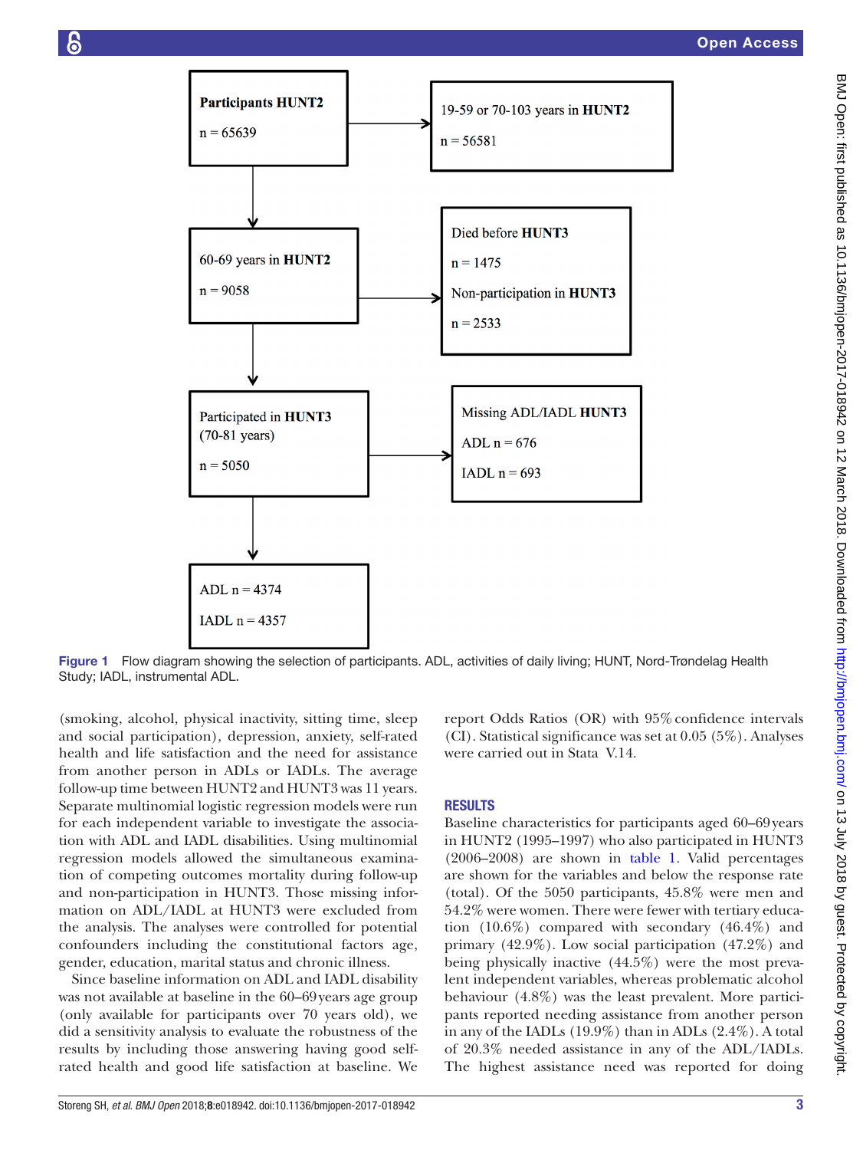

# **RESULTS**

 $n = 56581$ 

 $n = 1475$ 

 $n = 2533$ 

ADL  $n = 676$ 

IADL  $n = 693$ 

Died before HUNT3

Baseline characteristics for participants aged 60–69years in HUNT2 (1995–1997) who also participated in HUNT3 (2006–2008) are shown in [table](#page-3-0) 1. Valid percentages are shown for the variables and below the response rate (total). Of the 5050 participants, 45.8% were men and 54.2% were women. There were fewer with tertiary education (10.6%) compared with secondary (46.4%) and primary (42.9%). Low social participation (47.2%) and being physically inactive (44.5%) were the most prevalent independent variables, whereas problematic alcohol behaviour (4.8%) was the least prevalent. More participants reported needing assistance from another person in any of the IADLs (19.9%) than in ADLs (2.4%). A total of 20.3% needed assistance in any of the ADL/IADLs. The highest assistance need was reported for doing

(smoking, alcohol, physical inactivity, sitting time, sleep report Odds Ratios (OR) with 95%confidence intervals

and social participation), depression, anxiety, self-rated health and life satisfaction and the need for assistance from another person in ADLs or IADLs. The average follow-up time between HUNT2 and HUNT3 was 11 years. Separate multinomial logistic regression models were run for each independent variable to investigate the association with ADL and IADL disabilities. Using multinomial regression models allowed the simultaneous examination of competing outcomes mortality during follow-up and non-participation in HUNT3. Those missing information on ADL/IADL at HUNT3 were excluded from the analysis. The analyses were controlled for potential confounders including the constitutional factors age, gender, education, marital status and chronic illness.

**Participants HUNT2** 

60-69 years in HUNT2

Participated in HUNT3

 $(70-81 \text{ years})$ 

ADL  $n = 4374$ 

<span id="page-2-0"></span>IADL  $n = 4357$ 

 $n = 5050$ 

 $n = 65639$ 

 $n = 9058$ 

Study; IADL, instrumental ADL.

Since baseline information on ADL and IADL disability was not available at baseline in the 60–69years age group (only available for participants over 70 years old), we did a sensitivity analysis to evaluate the robustness of the results by including those answering having good selfrated health and good life satisfaction at baseline. We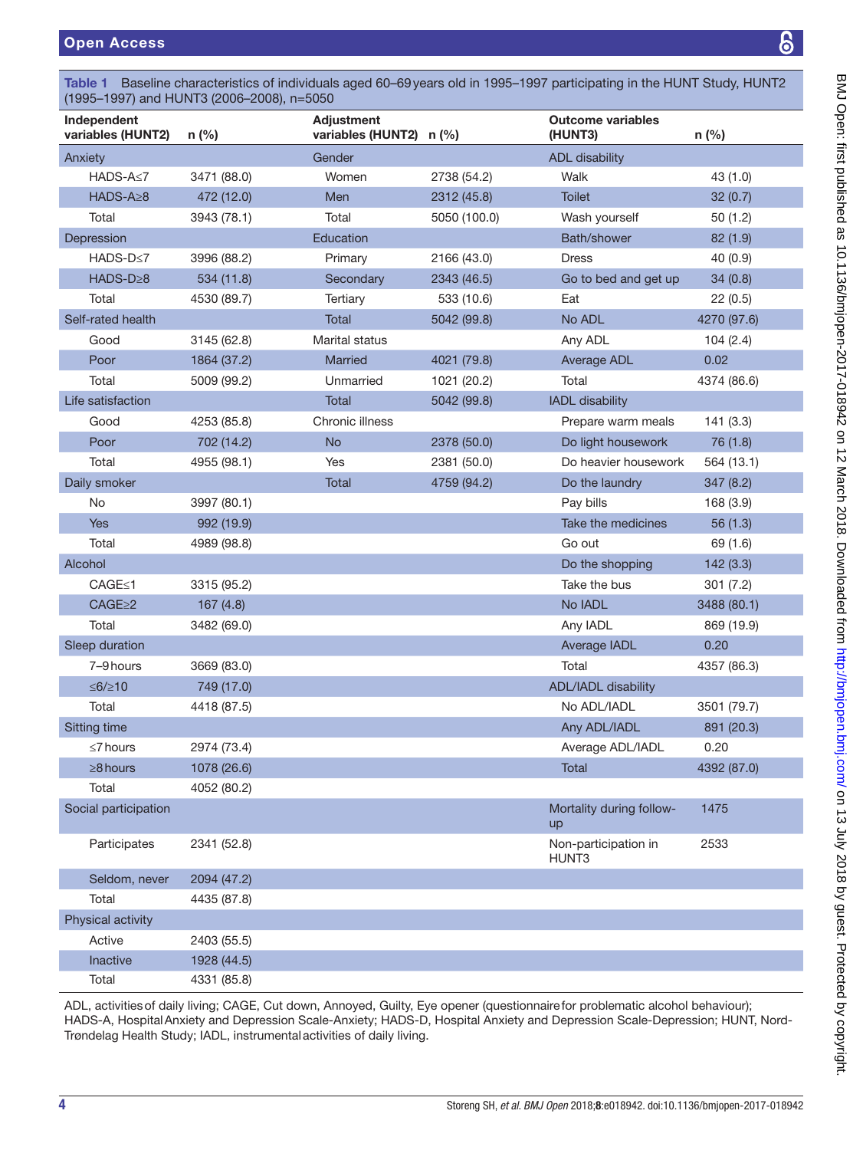<span id="page-3-0"></span>

| Table 1 Baseline characteristics of individuals aged 60–69 years old in 1995–1997 participating in the HUNT Study, HUNT2<br>(1995–1997) and HUNT3 (2006–2008), n=5050 |             |                                              |              |                                           |             |  |  |  |  |
|-----------------------------------------------------------------------------------------------------------------------------------------------------------------------|-------------|----------------------------------------------|--------------|-------------------------------------------|-------------|--|--|--|--|
| Independent<br>variables (HUNT2)<br>$n$ (%)                                                                                                                           |             | <b>Adjustment</b><br>variables (HUNT2) n (%) |              | <b>Outcome variables</b><br>(HUNT3)       | $n$ (%)     |  |  |  |  |
| Anxiety                                                                                                                                                               |             | Gender                                       |              | <b>ADL</b> disability                     |             |  |  |  |  |
| HADS-A≤7                                                                                                                                                              | 3471 (88.0) | Women                                        | 2738 (54.2)  | Walk                                      | 43 (1.0)    |  |  |  |  |
| HADS-A≥8                                                                                                                                                              | 472 (12.0)  | Men                                          | 2312 (45.8)  | <b>Toilet</b>                             | 32(0.7)     |  |  |  |  |
| Total                                                                                                                                                                 | 3943 (78.1) | Total                                        | 5050 (100.0) | Wash yourself                             | 50(1.2)     |  |  |  |  |
| Depression                                                                                                                                                            |             | Education                                    |              | Bath/shower                               | 82(1.9)     |  |  |  |  |
| HADS-D≤7                                                                                                                                                              | 3996 (88.2) | Primary                                      | 2166 (43.0)  | <b>Dress</b>                              | 40 (0.9)    |  |  |  |  |
| HADS-D≥8                                                                                                                                                              | 534 (11.8)  | Secondary                                    | 2343 (46.5)  | Go to bed and get up                      | 34(0.8)     |  |  |  |  |
| Total                                                                                                                                                                 | 4530 (89.7) | Tertiary                                     | 533 (10.6)   | Eat                                       | 22(0.5)     |  |  |  |  |
| Self-rated health                                                                                                                                                     |             | <b>Total</b>                                 | 5042 (99.8)  | No ADL                                    | 4270 (97.6) |  |  |  |  |
| Good                                                                                                                                                                  | 3145 (62.8) | Marital status                               |              | Any ADL                                   | 104(2.4)    |  |  |  |  |
| Poor                                                                                                                                                                  | 1864 (37.2) | <b>Married</b>                               | 4021 (79.8)  | Average ADL                               | 0.02        |  |  |  |  |
| Total                                                                                                                                                                 | 5009 (99.2) | Unmarried                                    | 1021 (20.2)  | Total                                     | 4374 (86.6) |  |  |  |  |
| Life satisfaction                                                                                                                                                     |             | <b>Total</b>                                 | 5042 (99.8)  | <b>IADL</b> disability                    |             |  |  |  |  |
| Good                                                                                                                                                                  | 4253 (85.8) | Chronic illness                              |              | Prepare warm meals                        | 141(3.3)    |  |  |  |  |
| Poor                                                                                                                                                                  | 702 (14.2)  | No                                           | 2378 (50.0)  | Do light housework                        | 76 (1.8)    |  |  |  |  |
| Total                                                                                                                                                                 | 4955 (98.1) | Yes                                          | 2381 (50.0)  | Do heavier housework                      | 564 (13.1)  |  |  |  |  |
| Daily smoker                                                                                                                                                          |             | Total                                        | 4759 (94.2)  | Do the laundry                            | 347(8.2)    |  |  |  |  |
| No                                                                                                                                                                    | 3997 (80.1) |                                              |              | Pay bills                                 | 168 (3.9)   |  |  |  |  |
| <b>Yes</b>                                                                                                                                                            | 992 (19.9)  |                                              |              | Take the medicines                        | 56(1.3)     |  |  |  |  |
| Total                                                                                                                                                                 | 4989 (98.8) |                                              |              | Go out                                    | 69 (1.6)    |  |  |  |  |
| Alcohol                                                                                                                                                               |             |                                              |              | Do the shopping                           | 142(3.3)    |  |  |  |  |
| CAGE≤1                                                                                                                                                                | 3315 (95.2) |                                              |              | Take the bus                              | 301(7.2)    |  |  |  |  |
| $CAGE \geq 2$                                                                                                                                                         | 167(4.8)    |                                              |              | No IADL                                   | 3488 (80.1) |  |  |  |  |
| Total                                                                                                                                                                 | 3482 (69.0) |                                              |              | Any IADL                                  | 869 (19.9)  |  |  |  |  |
| Sleep duration                                                                                                                                                        |             |                                              |              | Average IADL                              | 0.20        |  |  |  |  |
| 7-9 hours                                                                                                                                                             | 3669 (83.0) |                                              |              | Total                                     | 4357 (86.3) |  |  |  |  |
| $≤6/≥10$                                                                                                                                                              | 749 (17.0)  |                                              |              | <b>ADL/IADL disability</b>                |             |  |  |  |  |
| Total                                                                                                                                                                 | 4418 (87.5) |                                              |              | No ADL/IADL                               | 3501 (79.7) |  |  |  |  |
| <b>Sitting time</b>                                                                                                                                                   |             |                                              |              | Any ADL/IADL                              | 891 (20.3)  |  |  |  |  |
| $\leq$ 7 hours                                                                                                                                                        | 2974 (73.4) |                                              |              | Average ADL/IADL                          | 0.20        |  |  |  |  |
| $\geq 8$ hours                                                                                                                                                        | 1078 (26.6) |                                              |              | <b>Total</b>                              | 4392 (87.0) |  |  |  |  |
| Total                                                                                                                                                                 | 4052 (80.2) |                                              |              |                                           |             |  |  |  |  |
| Social participation                                                                                                                                                  |             |                                              |              | Mortality during follow-<br><b>up</b>     | 1475        |  |  |  |  |
| Participates                                                                                                                                                          | 2341 (52.8) |                                              |              | Non-participation in<br>HUNT <sub>3</sub> | 2533        |  |  |  |  |
| Seldom, never                                                                                                                                                         | 2094 (47.2) |                                              |              |                                           |             |  |  |  |  |
| Total                                                                                                                                                                 | 4435 (87.8) |                                              |              |                                           |             |  |  |  |  |
| Physical activity                                                                                                                                                     |             |                                              |              |                                           |             |  |  |  |  |
| Active                                                                                                                                                                | 2403 (55.5) |                                              |              |                                           |             |  |  |  |  |
| Inactive                                                                                                                                                              | 1928 (44.5) |                                              |              |                                           |             |  |  |  |  |
| Total                                                                                                                                                                 | 4331 (85.8) |                                              |              |                                           |             |  |  |  |  |

ADL, activitiesof daily living; CAGE, Cut down, Annoyed, Guilty, Eye opener (questionnairefor problematic alcohol behaviour); HADS-A, Hospital Anxiety and Depression Scale-Anxiety; HADS-D, Hospital Anxiety and Depression Scale-Depression; HUNT, Nord-Trøndelag Health Study; IADL, instrumentalactivities of daily living.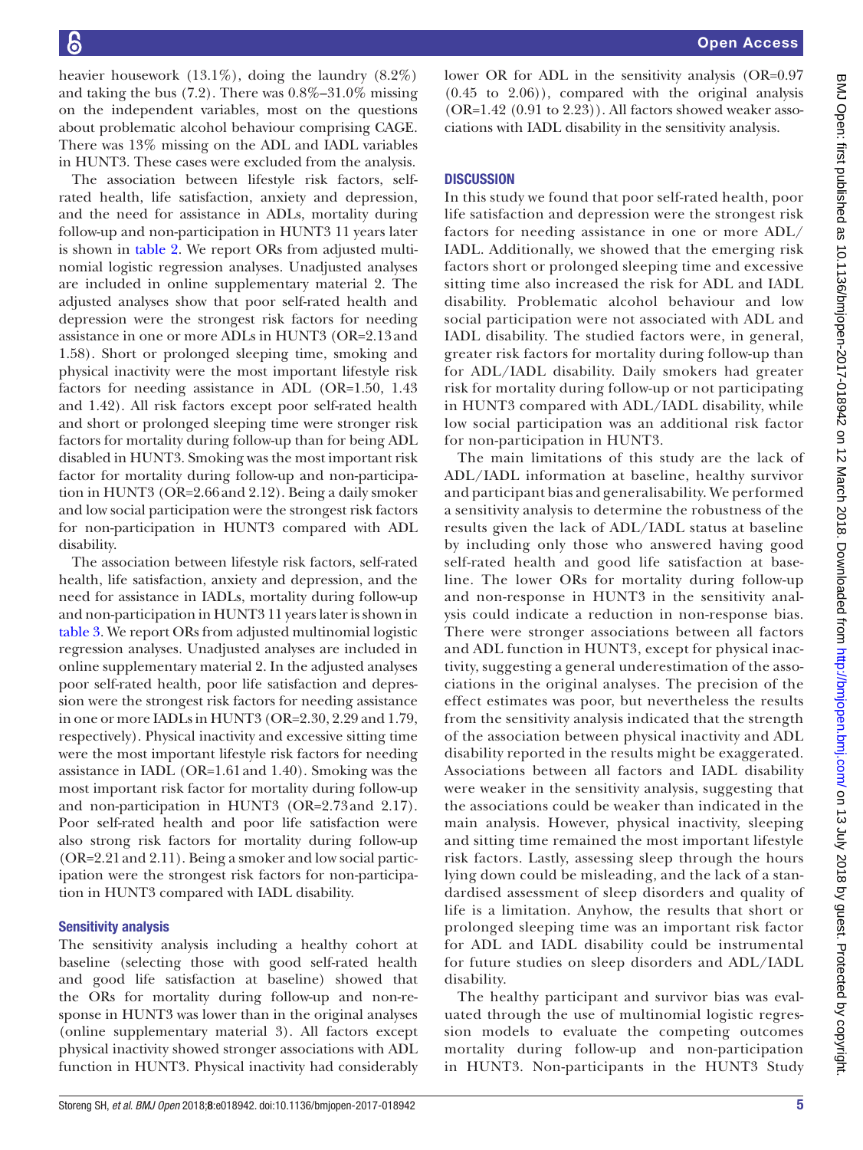heavier housework  $(13.1\%)$ , doing the laundry  $(8.2\%)$ and taking the bus  $(7.2)$ . There was  $0.8\% -31.0\%$  missing on the independent variables, most on the questions about problematic alcohol behaviour comprising CAGE. There was 13% missing on the ADL and IADL variables in HUNT3. These cases were excluded from the analysis.

The association between lifestyle risk factors, selfrated health, life satisfaction, anxiety and depression, and the need for assistance in ADLs, mortality during follow-up and non-participation in HUNT3 11 years later is shown in [table](#page-5-0) 2. We report ORs from adjusted multinomial logistic regression analyses. Unadjusted analyses are included in online [supplementary material 2.](https://dx.doi.org/10.1136/bmjopen-2017-018942) The adjusted analyses show that poor self-rated health and depression were the strongest risk factors for needing assistance in one or more ADLs in HUNT3 (OR=2.13and 1.58). Short or prolonged sleeping time, smoking and physical inactivity were the most important lifestyle risk factors for needing assistance in ADL (OR=1.50, 1.43 and 1.42). All risk factors except poor self-rated health and short or prolonged sleeping time were stronger risk factors for mortality during follow-up than for being ADL disabled in HUNT3. Smoking was the most important risk factor for mortality during follow-up and non-participation in HUNT3 (OR=2.66and 2.12). Being a daily smoker and low social participation were the strongest risk factors for non-participation in HUNT3 compared with ADL disability.

The association between lifestyle risk factors, self-rated health, life satisfaction, anxiety and depression, and the need for assistance in IADLs, mortality during follow-up and non-participation in HUNT3 11 years later is shown in [table](#page-6-0) 3. We report ORs from adjusted multinomial logistic regression analyses. Unadjusted analyses are included in online [supplementary material 2.](https://dx.doi.org/10.1136/bmjopen-2017-018942) In the adjusted analyses poor self-rated health, poor life satisfaction and depression were the strongest risk factors for needing assistance in one or more IADLs in HUNT3 (OR=2.30, 2.29 and 1.79, respectively). Physical inactivity and excessive sitting time were the most important lifestyle risk factors for needing assistance in IADL (OR=1.61and 1.40). Smoking was the most important risk factor for mortality during follow-up and non-participation in HUNT3 (OR=2.73and 2.17). Poor self-rated health and poor life satisfaction were also strong risk factors for mortality during follow-up (OR=2.21and 2.11). Being a smoker and low social participation were the strongest risk factors for non-participation in HUNT3 compared with IADL disability.

# Sensitivity analysis

The sensitivity analysis including a healthy cohort at baseline (selecting those with good self-rated health and good life satisfaction at baseline) showed that the ORs for mortality during follow-up and non-response in HUNT3 was lower than in the original analyses (online [supplementary material 3](https://dx.doi.org/10.1136/bmjopen-2017-018942)). All factors except physical inactivity showed stronger associations with ADL function in HUNT3. Physical inactivity had considerably lower OR for ADL in the sensitivity analysis (OR=0.97 (0.45 to 2.06)), compared with the original analysis (OR=1.42 (0.91 to 2.23)). All factors showed weaker associations with IADL disability in the sensitivity analysis.

# **DISCUSSION**

In this study we found that poor self-rated health, poor life satisfaction and depression were the strongest risk factors for needing assistance in one or more ADL/ IADL. Additionally, we showed that the emerging risk factors short or prolonged sleeping time and excessive sitting time also increased the risk for ADL and IADL disability. Problematic alcohol behaviour and low social participation were not associated with ADL and IADL disability. The studied factors were, in general, greater risk factors for mortality during follow-up than for ADL/IADL disability. Daily smokers had greater risk for mortality during follow-up or not participating in HUNT3 compared with ADL/IADL disability, while low social participation was an additional risk factor for non-participation in HUNT3.

The main limitations of this study are the lack of ADL/IADL information at baseline, healthy survivor and participant bias and generalisability. We performed a sensitivity analysis to determine the robustness of the results given the lack of ADL/IADL status at baseline by including only those who answered having good self-rated health and good life satisfaction at baseline. The lower ORs for mortality during follow-up and non-response in HUNT3 in the sensitivity analysis could indicate a reduction in non-response bias. There were stronger associations between all factors and ADL function in HUNT3, except for physical inactivity, suggesting a general underestimation of the associations in the original analyses. The precision of the effect estimates was poor, but nevertheless the results from the sensitivity analysis indicated that the strength of the association between physical inactivity and ADL disability reported in the results might be exaggerated. Associations between all factors and IADL disability were weaker in the sensitivity analysis, suggesting that the associations could be weaker than indicated in the main analysis. However, physical inactivity, sleeping and sitting time remained the most important lifestyle risk factors. Lastly, assessing sleep through the hours lying down could be misleading, and the lack of a standardised assessment of sleep disorders and quality of life is a limitation. Anyhow, the results that short or prolonged sleeping time was an important risk factor for ADL and IADL disability could be instrumental for future studies on sleep disorders and ADL/IADL disability.

The healthy participant and survivor bias was evaluated through the use of multinomial logistic regression models to evaluate the competing outcomes mortality during follow-up and non-participation in HUNT3. Non-participants in the HUNT3 Study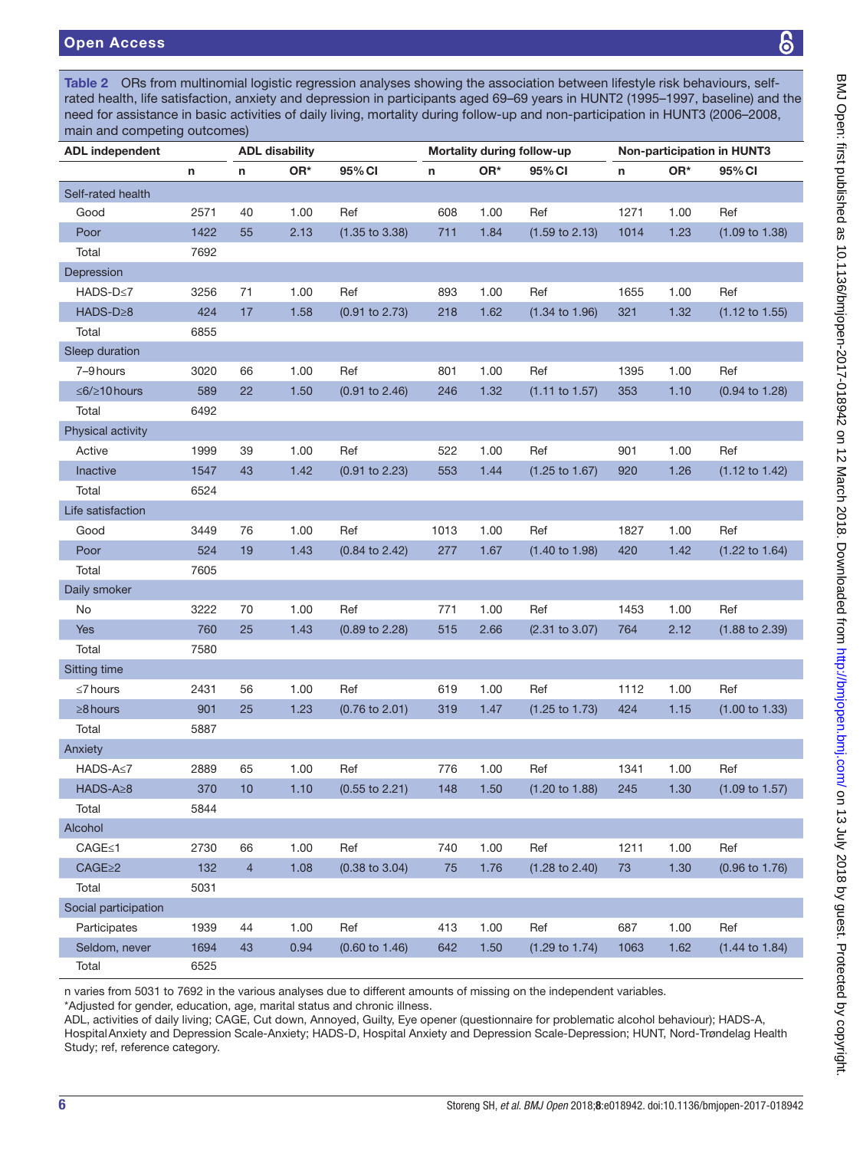<span id="page-5-0"></span>Table 2 ORs from multinomial logistic regression analyses showing the association between lifestyle risk behaviours, selfrated health, life satisfaction, anxiety and depression in participants aged 69–69 years in HUNT2 (1995–1997, baseline) and the need for assistance in basic activities of daily living, mortality during follow-up and non-participation in HUNT3 (2006–2008, main and competing outcomes)

| <b>ADL</b> independent |      | <b>ADL disability</b> |      |                           | Mortality during follow-up |      |                           | Non-participation in HUNT3 |      |                           |
|------------------------|------|-----------------------|------|---------------------------|----------------------------|------|---------------------------|----------------------------|------|---------------------------|
|                        | n    | n                     | OR*  | 95% CI                    | n                          | OR*  | 95% CI                    | n                          | OR*  | 95% CI                    |
| Self-rated health      |      |                       |      |                           |                            |      |                           |                            |      |                           |
| Good                   | 2571 | 40                    | 1.00 | Ref                       | 608                        | 1.00 | Ref                       | 1271                       | 1.00 | Ref                       |
| Poor                   | 1422 | 55                    | 2.13 | $(1.35 \text{ to } 3.38)$ | 711                        | 1.84 | $(1.59 \text{ to } 2.13)$ | 1014                       | 1.23 | $(1.09 \text{ to } 1.38)$ |
| Total                  | 7692 |                       |      |                           |                            |      |                           |                            |      |                           |
| Depression             |      |                       |      |                           |                            |      |                           |                            |      |                           |
| HADS-D≤7               | 3256 | 71                    | 1.00 | Ref                       | 893                        | 1.00 | Ref                       | 1655                       | 1.00 | Ref                       |
| HADS-D≥8               | 424  | 17                    | 1.58 | (0.91 to 2.73)            | 218                        | 1.62 | $(1.34 \text{ to } 1.96)$ | 321                        | 1.32 | $(1.12 \text{ to } 1.55)$ |
| Total                  | 6855 |                       |      |                           |                            |      |                           |                            |      |                           |
| Sleep duration         |      |                       |      |                           |                            |      |                           |                            |      |                           |
| 7-9 hours              | 3020 | 66                    | 1.00 | Ref                       | 801                        | 1.00 | Ref                       | 1395                       | 1.00 | Ref                       |
| ≤6/≥10 hours           | 589  | 22                    | 1.50 | $(0.91$ to $2.46)$        | 246                        | 1.32 | $(1.11$ to $1.57)$        | 353                        | 1.10 | $(0.94 \text{ to } 1.28)$ |
| Total                  | 6492 |                       |      |                           |                            |      |                           |                            |      |                           |
| Physical activity      |      |                       |      |                           |                            |      |                           |                            |      |                           |
| Active                 | 1999 | 39                    | 1.00 | Ref                       | 522                        | 1.00 | Ref                       | 901                        | 1.00 | Ref                       |
| Inactive               | 1547 | 43                    | 1.42 | (0.91 to 2.23)            | 553                        | 1.44 | $(1.25 \text{ to } 1.67)$ | 920                        | 1.26 | $(1.12 \text{ to } 1.42)$ |
| Total                  | 6524 |                       |      |                           |                            |      |                           |                            |      |                           |
| Life satisfaction      |      |                       |      |                           |                            |      |                           |                            |      |                           |
| Good                   | 3449 | 76                    | 1.00 | Ref                       | 1013                       | 1.00 | Ref                       | 1827                       | 1.00 | Ref                       |
| Poor                   | 524  | 19                    | 1.43 | $(0.84 \text{ to } 2.42)$ | 277                        | 1.67 | $(1.40 \text{ to } 1.98)$ | 420                        | 1.42 | $(1.22 \text{ to } 1.64)$ |
| Total                  | 7605 |                       |      |                           |                            |      |                           |                            |      |                           |
| Daily smoker           |      |                       |      |                           |                            |      |                           |                            |      |                           |
| No                     | 3222 | 70                    | 1.00 | Ref                       | 771                        | 1.00 | Ref                       | 1453                       | 1.00 | Ref                       |
| <b>Yes</b>             | 760  | 25                    | 1.43 | $(0.89 \text{ to } 2.28)$ | 515                        | 2.66 | $(2.31 \text{ to } 3.07)$ | 764                        | 2.12 | $(1.88 \text{ to } 2.39)$ |
| Total                  | 7580 |                       |      |                           |                            |      |                           |                            |      |                           |
| Sitting time           |      |                       |      |                           |                            |      |                           |                            |      |                           |
| $\leq$ 7 hours         | 2431 | 56                    | 1.00 | Ref                       | 619                        | 1.00 | Ref                       | 1112                       | 1.00 | Ref                       |
| $\geq 8$ hours         | 901  | 25                    | 1.23 | $(0.76 \text{ to } 2.01)$ | 319                        | 1.47 | $(1.25 \text{ to } 1.73)$ | 424                        | 1.15 | $(1.00 \text{ to } 1.33)$ |
| Total                  | 5887 |                       |      |                           |                            |      |                           |                            |      |                           |
| Anxiety                |      |                       |      |                           |                            |      |                           |                            |      |                           |
| HADS-A≤7               | 2889 | 65                    | 1.00 | Ref                       | 776                        | 1.00 | Ref                       | 1341                       | 1.00 | Ref                       |
| $HADS-A28$             | 370  | 10                    | 1.10 | $(0.55$ to 2.21)          | 148                        | 1.50 | $(1.20 \text{ to } 1.88)$ | 245                        | 1.30 | $(1.09 \text{ to } 1.57)$ |
| Total                  | 5844 |                       |      |                           |                            |      |                           |                            |      |                           |
| Alcohol                |      |                       |      |                           |                            |      |                           |                            |      |                           |
| CAGE≤1                 | 2730 | 66                    | 1.00 | Ref                       | 740                        | 1.00 | Ref                       | 1211                       | 1.00 | Ref                       |
| $CAGE \geq 2$          | 132  | $\overline{4}$        | 1.08 | $(0.38 \text{ to } 3.04)$ | 75                         | 1.76 | $(1.28 \text{ to } 2.40)$ | 73                         | 1.30 | (0.96 to 1.76)            |
| Total                  | 5031 |                       |      |                           |                            |      |                           |                            |      |                           |
| Social participation   |      |                       |      |                           |                            |      |                           |                            |      |                           |
| Participates           | 1939 | 44                    | 1.00 | Ref                       | 413                        | 1.00 | Ref                       | 687                        | 1.00 | Ref                       |
| Seldom, never          | 1694 | 43                    | 0.94 | $(0.60 \text{ to } 1.46)$ | 642                        | 1.50 | $(1.29 \text{ to } 1.74)$ | 1063                       | 1.62 | $(1.44 \text{ to } 1.84)$ |
| Total                  | 6525 |                       |      |                           |                            |      |                           |                            |      |                           |

n varies from 5031 to 7692 in the various analyses due to different amounts of missing on the independent variables.

\*Adjusted for gender, education, age, marital status and chronic illness.

ADL, activities of daily living; CAGE, Cut down, Annoyed, Guilty, Eye opener (questionnaire for problematic alcohol behaviour); HADS-A, HospitalAnxiety and Depression Scale-Anxiety; HADS-D, Hospital Anxiety and Depression Scale-Depression; HUNT, Nord-Trøndelag Health Study; ref, reference category.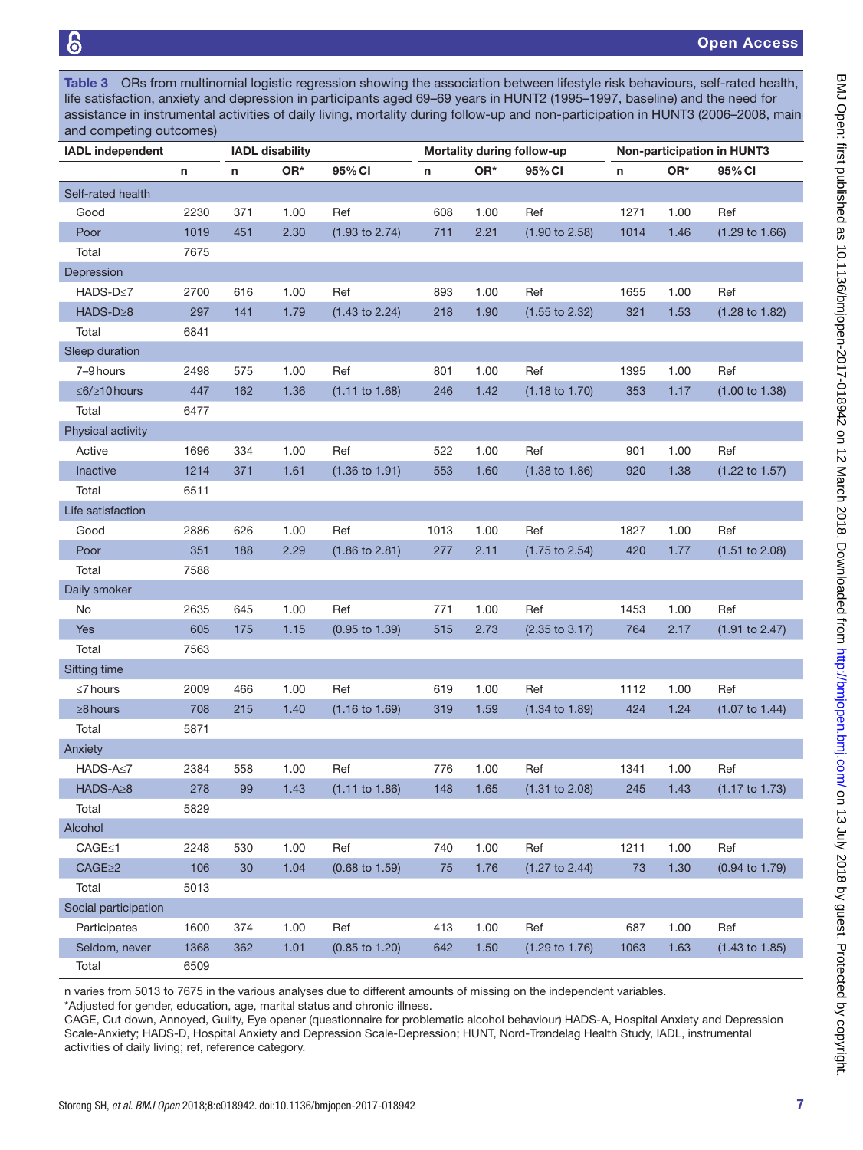န

<span id="page-6-0"></span>Table 3 ORs from multinomial logistic regression showing the association between lifestyle risk behaviours, self-rated health, life satisfaction, anxiety and depression in participants aged 69–69 years in HUNT2 (1995–1997, baseline) and the need for assistance in instrumental activities of daily living, mortality during follow-up and non-participation in HUNT3 (2006–2008, main and competing outcomes)

| <b>IADL</b> independent |      | <b>IADL disability</b> |      | Mortality during follow-up |      |      | Non-participation in HUNT3 |      |      |                           |
|-------------------------|------|------------------------|------|----------------------------|------|------|----------------------------|------|------|---------------------------|
|                         | n    | n                      | OR*  | 95% CI                     | n    | OR*  | 95% CI                     | n    | OR*  | 95% CI                    |
| Self-rated health       |      |                        |      |                            |      |      |                            |      |      |                           |
| Good                    | 2230 | 371                    | 1.00 | Ref                        | 608  | 1.00 | Ref                        | 1271 | 1.00 | Ref                       |
| Poor                    | 1019 | 451                    | 2.30 | (1.93 to 2.74)             | 711  | 2.21 | $(1.90 \text{ to } 2.58)$  | 1014 | 1.46 | $(1.29 \text{ to } 1.66)$ |
| Total                   | 7675 |                        |      |                            |      |      |                            |      |      |                           |
| Depression              |      |                        |      |                            |      |      |                            |      |      |                           |
| HADS-D≤7                | 2700 | 616                    | 1.00 | Ref                        | 893  | 1.00 | Ref                        | 1655 | 1.00 | Ref                       |
| HADS-D≥8                | 297  | 141                    | 1.79 | $(1.43 \text{ to } 2.24)$  | 218  | 1.90 | $(1.55 \text{ to } 2.32)$  | 321  | 1.53 | $(1.28 \text{ to } 1.82)$ |
| Total                   | 6841 |                        |      |                            |      |      |                            |      |      |                           |
| Sleep duration          |      |                        |      |                            |      |      |                            |      |      |                           |
| 7-9 hours               | 2498 | 575                    | 1.00 | Ref                        | 801  | 1.00 | Ref                        | 1395 | 1.00 | Ref                       |
| ≤6/≥10 hours            | 447  | 162                    | 1.36 | $(1.11$ to $1.68)$         | 246  | 1.42 | $(1.18 \text{ to } 1.70)$  | 353  | 1.17 | $(1.00 \text{ to } 1.38)$ |
| Total                   | 6477 |                        |      |                            |      |      |                            |      |      |                           |
| Physical activity       |      |                        |      |                            |      |      |                            |      |      |                           |
| Active                  | 1696 | 334                    | 1.00 | Ref                        | 522  | 1.00 | Ref                        | 901  | 1.00 | Ref                       |
| Inactive                | 1214 | 371                    | 1.61 | $(1.36 \text{ to } 1.91)$  | 553  | 1.60 | $(1.38 \text{ to } 1.86)$  | 920  | 1.38 | $(1.22 \text{ to } 1.57)$ |
| Total                   | 6511 |                        |      |                            |      |      |                            |      |      |                           |
| Life satisfaction       |      |                        |      |                            |      |      |                            |      |      |                           |
| Good                    | 2886 | 626                    | 1.00 | Ref                        | 1013 | 1.00 | Ref                        | 1827 | 1.00 | Ref                       |
| Poor                    | 351  | 188                    | 2.29 | $(1.86 \text{ to } 2.81)$  | 277  | 2.11 | $(1.75 \text{ to } 2.54)$  | 420  | 1.77 | $(1.51$ to 2.08)          |
| Total                   | 7588 |                        |      |                            |      |      |                            |      |      |                           |
| Daily smoker            |      |                        |      |                            |      |      |                            |      |      |                           |
| No                      | 2635 | 645                    | 1.00 | Ref                        | 771  | 1.00 | Ref                        | 1453 | 1.00 | Ref                       |
| Yes                     | 605  | 175                    | 1.15 | $(0.95 \text{ to } 1.39)$  | 515  | 2.73 | $(2.35 \text{ to } 3.17)$  | 764  | 2.17 | (1.91 to 2.47)            |
| Total                   | 7563 |                        |      |                            |      |      |                            |      |      |                           |
| Sitting time            |      |                        |      |                            |      |      |                            |      |      |                           |
| $\leq$ 7 hours          | 2009 | 466                    | 1.00 | Ref                        | 619  | 1.00 | Ref                        | 1112 | 1.00 | Ref                       |
| $\geq 8$ hours          | 708  | 215                    | 1.40 | $(1.16 \text{ to } 1.69)$  | 319  | 1.59 | $(1.34 \text{ to } 1.89)$  | 424  | 1.24 | $(1.07 \text{ to } 1.44)$ |
| Total                   | 5871 |                        |      |                            |      |      |                            |      |      |                           |
| Anxiety                 |      |                        |      |                            |      |      |                            |      |      |                           |
| HADS-A≤7                | 2384 | 558                    | 1.00 | Ref                        | 776  | 1.00 | Ref                        | 1341 | 1.00 | Ref                       |
| $HADS-A28$              | 278  | 99                     | 1.43 | $(1.11 \text{ to } 1.86)$  | 148  | 1.65 | $(1.31 \text{ to } 2.08)$  | 245  | 1.43 | $(1.17 \text{ to } 1.73)$ |
| Total                   | 5829 |                        |      |                            |      |      |                            |      |      |                           |
| Alcohol                 |      |                        |      |                            |      |      |                            |      |      |                           |
| CAGE≤1                  | 2248 | 530                    | 1.00 | Ref                        | 740  | 1.00 | Ref                        | 1211 | 1.00 | Ref                       |
| $CAGE \geq 2$           | 106  | 30                     | 1.04 | $(0.68 \text{ to } 1.59)$  | 75   | 1.76 | $(1.27$ to 2.44)           | 73   | 1.30 | $(0.94 \text{ to } 1.79)$ |
| Total                   | 5013 |                        |      |                            |      |      |                            |      |      |                           |
| Social participation    |      |                        |      |                            |      |      |                            |      |      |                           |
| Participates            | 1600 | 374                    | 1.00 | Ref                        | 413  | 1.00 | Ref                        | 687  | 1.00 | Ref                       |
| Seldom, never           | 1368 | 362                    | 1.01 | $(0.85 \text{ to } 1.20)$  | 642  | 1.50 | $(1.29 \text{ to } 1.76)$  | 1063 | 1.63 | $(1.43 \text{ to } 1.85)$ |
| Total                   | 6509 |                        |      |                            |      |      |                            |      |      |                           |

n varies from 5013 to 7675 in the various analyses due to different amounts of missing on the independent variables.

\*Adjusted for gender, education, age, marital status and chronic illness.

CAGE, Cut down, Annoyed, Guilty, Eye opener (questionnaire for problematic alcohol behaviour) HADS-A, Hospital Anxiety and Depression Scale-Anxiety; HADS-D, Hospital Anxiety and Depression Scale-Depression; HUNT, Nord-Trøndelag Health Study, IADL, instrumental activities of daily living; ref, reference category.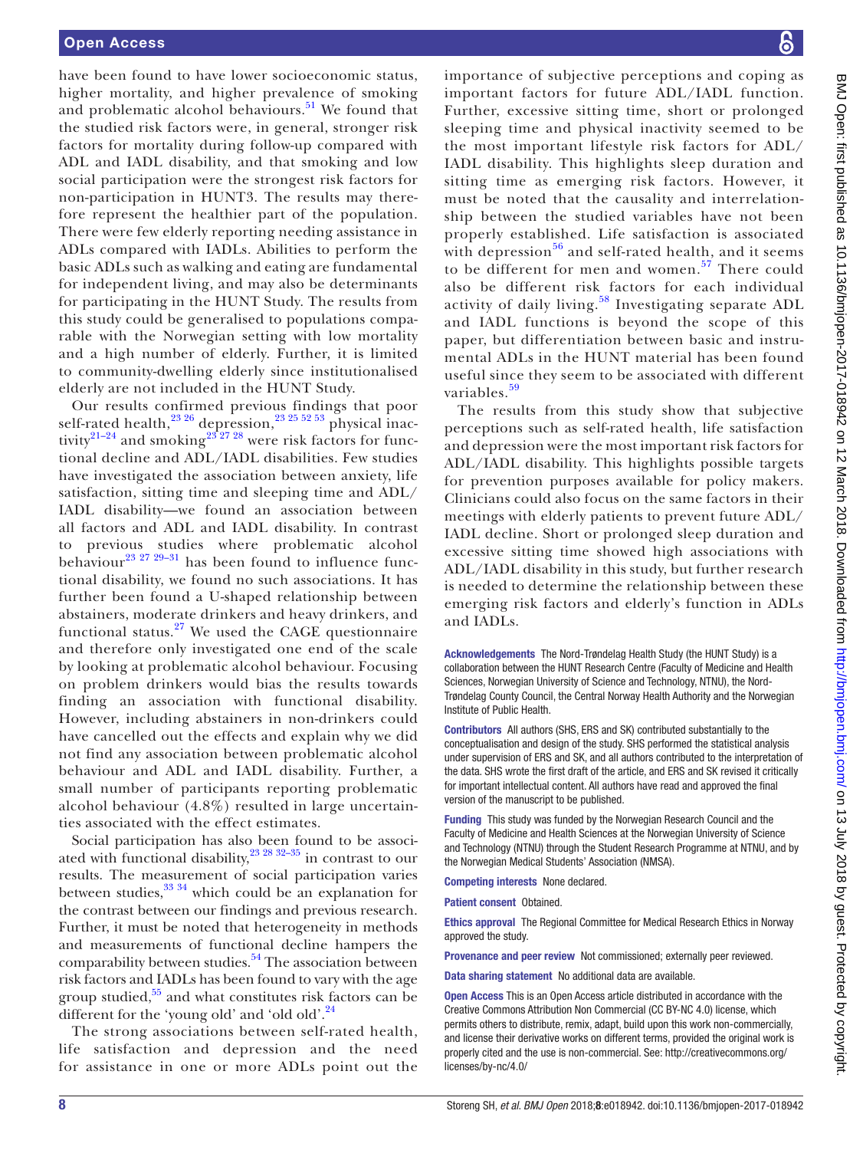have been found to have lower socioeconomic status, higher mortality, and higher prevalence of smoking and problematic alcohol behaviours. $51$  We found that the studied risk factors were, in general, stronger risk factors for mortality during follow-up compared with ADL and IADL disability, and that smoking and low social participation were the strongest risk factors for non-participation in HUNT3. The results may therefore represent the healthier part of the population. There were few elderly reporting needing assistance in ADLs compared with IADLs. Abilities to perform the basic ADLs such as walking and eating are fundamental for independent living, and may also be determinants for participating in the HUNT Study. The results from this study could be generalised to populations comparable with the Norwegian setting with low mortality and a high number of elderly. Further, it is limited to community-dwelling elderly since institutionalised elderly are not included in the HUNT Study.

Our results confirmed previous findings that poor self-rated health, $^{23\ 26}$  depression, $^{23\ 25\ 52\ 53}$  physical inac-tivity<sup>[21–24](#page-8-9)</sup> and smoking<sup>232728</sup> were risk factors for functional decline and ADL/IADL disabilities. Few studies have investigated the association between anxiety, life satisfaction, sitting time and sleeping time and ADL/ IADL disability—we found an association between all factors and ADL and IADL disability. In contrast to previous studies where problematic alcohol behaviour<sup>23</sup> <sup>27</sup> <sup>29–31</sup> has been found to influence functional disability, we found no such associations. It has further been found a U-shaped relationship between abstainers, moderate drinkers and heavy drinkers, and functional status. $27$  We used the CAGE questionnaire and therefore only investigated one end of the scale by looking at problematic alcohol behaviour. Focusing on problem drinkers would bias the results towards finding an association with functional disability. However, including abstainers in non-drinkers could have cancelled out the effects and explain why we did not find any association between problematic alcohol behaviour and ADL and IADL disability. Further, a small number of participants reporting problematic alcohol behaviour (4.8%) resulted in large uncertainties associated with the effect estimates.

Social participation has also been found to be associated with functional disability,  $23 \times 28 \times 32 - 35$  in contrast to our results. The measurement of social participation varies between studies,  $33 \times 34$  which could be an explanation for the contrast between our findings and previous research. Further, it must be noted that heterogeneity in methods and measurements of functional decline hampers the comparability between studies. $54$  The association between risk factors and IADLs has been found to vary with the age group studied, $55$  and what constitutes risk factors can be different for the 'young old' and 'old old'.<sup>24</sup>

The strong associations between self-rated health, life satisfaction and depression and the need for assistance in one or more ADLs point out the

importance of subjective perceptions and coping as important factors for future ADL/IADL function. Further, excessive sitting time, short or prolonged sleeping time and physical inactivity seemed to be the most important lifestyle risk factors for ADL/ IADL disability. This highlights sleep duration and sitting time as emerging risk factors. However, it must be noted that the causality and interrelationship between the studied variables have not been properly established. Life satisfaction is associated with depression<sup>56</sup> and self-rated health, and it seems to be different for men and women.<sup>57</sup> There could also be different risk factors for each individual activity of daily living.<sup>[58](#page-9-5)</sup> Investigating separate ADL and IADL functions is beyond the scope of this paper, but differentiation between basic and instrumental ADLs in the HUNT material has been found useful since they seem to be associated with different variables.<sup>[59](#page-9-6)</sup>

The results from this study show that subjective perceptions such as self-rated health, life satisfaction and depression were the most important risk factors for ADL/IADL disability. This highlights possible targets for prevention purposes available for policy makers. Clinicians could also focus on the same factors in their meetings with elderly patients to prevent future ADL/ IADL decline. Short or prolonged sleep duration and excessive sitting time showed high associations with ADL/IADL disability in this study, but further research is needed to determine the relationship between these emerging risk factors and elderly's function in ADLs and IADLs.

Acknowledgements The Nord-Trøndelag Health Study (the HUNT Study) is a collaboration between the HUNT Research Centre (Faculty of Medicine and Health Sciences, Norwegian University of Science and Technology, NTNU), the Nord-Trøndelag County Council, the Central Norway Health Authority and the Norwegian Institute of Public Health.

Contributors All authors (SHS, ERS and SK) contributed substantially to the conceptualisation and design of the study. SHS performed the statistical analysis under supervision of ERS and SK, and all authors contributed to the interpretation of the data. SHS wrote the first draft of the article, and ERS and SK revised it critically for important intellectual content. All authors have read and approved the final version of the manuscript to be published.

Funding This study was funded by the Norwegian Research Council and the Faculty of Medicine and Health Sciences at the Norwegian University of Science and Technology (NTNU) through the Student Research Programme at NTNU, and by the Norwegian Medical Students' Association (NMSA).

Competing interests None declared.

Patient consent Obtained.

Ethics approval The Regional Committee for Medical Research Ethics in Norway approved the study.

Provenance and peer review Not commissioned; externally peer reviewed.

Data sharing statement No additional data are available.

Open Access This is an Open Access article distributed in accordance with the Creative Commons Attribution Non Commercial (CC BY-NC 4.0) license, which permits others to distribute, remix, adapt, build upon this work non-commercially, and license their derivative works on different terms, provided the original work is properly cited and the use is non-commercial. See: [http://creativecommons.org/](http://creativecommons.org/licenses/by-nc/4.0/) [licenses/by-nc/4.0/](http://creativecommons.org/licenses/by-nc/4.0/)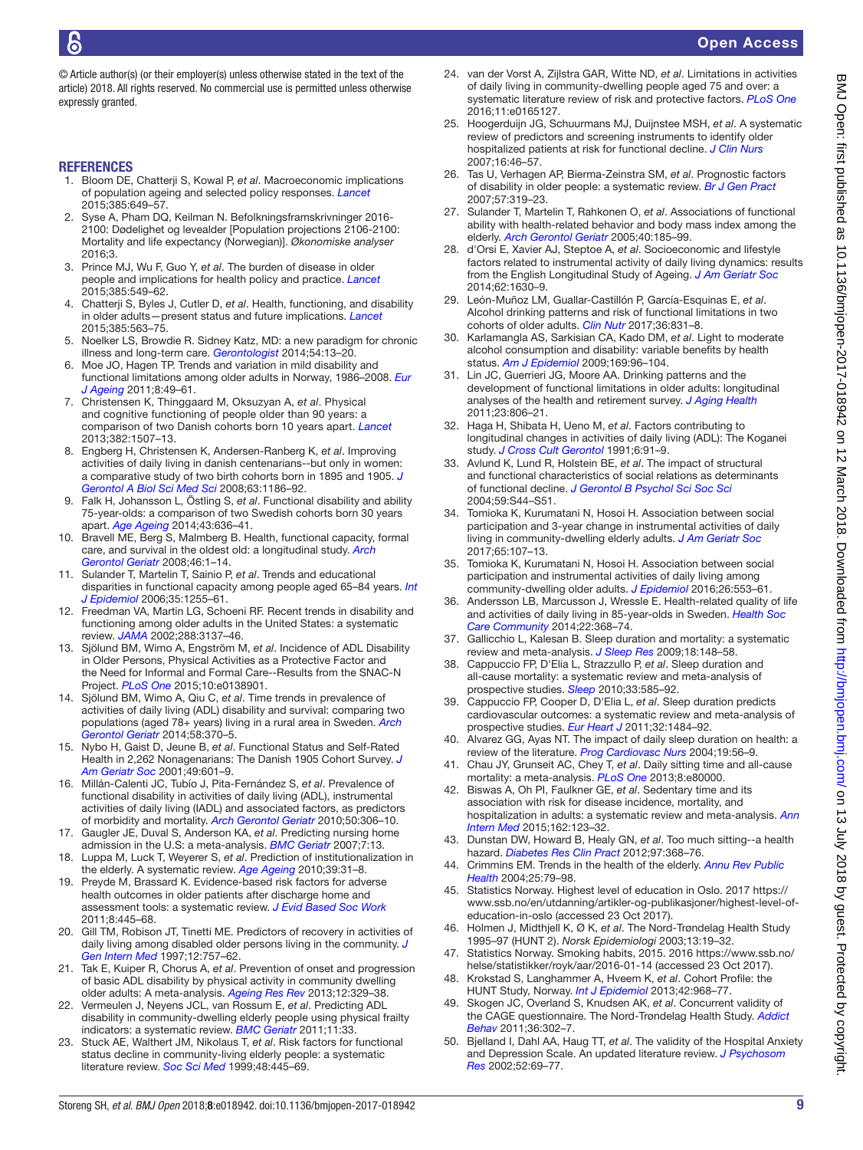# Open Access

© Article author(s) (or their employer(s) unless otherwise stated in the text of the article) 2018. All rights reserved. No commercial use is permitted unless otherwise expressly granted.

# **REFERENCES**

- <span id="page-8-0"></span>1. Bloom DE, Chatterji S, Kowal P, *et al*. Macroeconomic implications of population ageing and selected policy responses. *[Lancet](http://dx.doi.org/10.1016/S0140-6736(14)61464-1)* 2015;385:649–57.
- <span id="page-8-1"></span>2. Syse A, Pham DQ, Keilman N. Befolkningsframskrivninger 2016- 2100: Dødelighet og levealder [Population projections 2106-2100: Mortality and life expectancy (Norwegian)]. *Økonomiske analyser* 2016;3.
- <span id="page-8-2"></span>3. Prince MJ, Wu F, Guo Y, *et al*. The burden of disease in older people and implications for health policy and practice. *[Lancet](http://dx.doi.org/10.1016/S0140-6736(14)61347-7)* 2015;385:549–62.
- <span id="page-8-3"></span>4. Chatterji S, Byles J, Cutler D, *et al*. Health, functioning, and disability in older adults—present status and future implications. *[Lancet](http://dx.doi.org/10.1016/S0140-6736(14)61462-8)* 2015;385:563–75.
- <span id="page-8-4"></span>5. Noelker LS, Browdie R. Sidney Katz, MD: a new paradigm for chronic illness and long-term care. *[Gerontologist](http://dx.doi.org/10.1093/geront/gnt086)* 2014;54:13–20.
- 6. Moe JO, Hagen TP. Trends and variation in mild disability and functional limitations among older adults in Norway, 1986–2008. *[Eur](http://dx.doi.org/10.1007/s10433-011-0179-3)  [J Ageing](http://dx.doi.org/10.1007/s10433-011-0179-3)* 2011;8:49–61.
- 7. Christensen K, Thinggaard M, Oksuzyan A, *et al*. Physical and cognitive functioning of people older than 90 years: a comparison of two Danish cohorts born 10 years apart. *[Lancet](http://dx.doi.org/10.1016/S0140-6736(13)60777-1)* 2013;382:1507–13.
- 8. Engberg H, Christensen K, Andersen-Ranberg K, *et al*. Improving activities of daily living in danish centenarians--but only in women: a comparative study of two birth cohorts born in 1895 and 1905. *[J](http://dx.doi.org/10.1093/gerona/63.11.1186)  [Gerontol A Biol Sci Med Sci](http://dx.doi.org/10.1093/gerona/63.11.1186)* 2008;63:1186–92.
- 9. Falk H, Johansson L, Östling S, *et al*. Functional disability and ability 75-year-olds: a comparison of two Swedish cohorts born 30 years apart. *[Age Ageing](http://dx.doi.org/10.1093/ageing/afu018)* 2014;43:636–41.
- 10. Bravell ME, Berg S, Malmberg B. Health, functional capacity, formal care, and survival in the oldest old: a longitudinal study. *[Arch](http://dx.doi.org/10.1016/j.archger.2007.02.003)  [Gerontol Geriatr](http://dx.doi.org/10.1016/j.archger.2007.02.003)* 2008;46:1–14.
- 11. Sulander T, Martelin T, Sainio P, *et al*. Trends and educational disparities in functional capacity among people aged 65–84 years. *[Int](http://dx.doi.org/10.1093/ije/dyl183) [J Epidemiol](http://dx.doi.org/10.1093/ije/dyl183)* 2006;35:1255–61.
- 12. Freedman VA, Martin LG, Schoeni RF. Recent trends in disability and functioning among older adults in the United States: a systematic review. *[JAMA](http://dx.doi.org/10.1001/jama.288.24.3137)* 2002;288:3137–46.
- 13. Sjölund BM, Wimo A, Engström M, *et al*. Incidence of ADL Disability in Older Persons, Physical Activities as a Protective Factor and the Need for Informal and Formal Care--Results from the SNAC-N Project. *[PLoS One](http://dx.doi.org/10.1371/journal.pone.0138901)* 2015;10:e0138901.
- <span id="page-8-5"></span>14. Sjölund BM, Wimo A, Qiu C, *et al*. Time trends in prevalence of activities of daily living (ADL) disability and survival: comparing two populations (aged 78+ years) living in a rural area in Sweden. *[Arch](http://dx.doi.org/10.1016/j.archger.2013.12.004)  [Gerontol Geriatr](http://dx.doi.org/10.1016/j.archger.2013.12.004)* 2014;58:370–5.
- 15. Nybo H, Gaist D, Jeune B, *et al*. Functional Status and Self-Rated Health in 2,262 Nonagenarians: The Danish 1905 Cohort Survey. *[J](http://dx.doi.org/10.1046/j.1532-5415.2001.49121.x)  [Am Geriatr Soc](http://dx.doi.org/10.1046/j.1532-5415.2001.49121.x)* 2001;49:601–9.
- <span id="page-8-6"></span>16. Millán-Calenti JC, Tubío J, Pita-Fernández S, *et al*. Prevalence of functional disability in activities of daily living (ADL), instrumental activities of daily living (IADL) and associated factors, as predictors of morbidity and mortality. *[Arch Gerontol Geriatr](http://dx.doi.org/10.1016/j.archger.2009.04.017)* 2010;50:306–10.
- <span id="page-8-7"></span>17. Gaugler JE, Duval S, Anderson KA, *et al*. Predicting nursing home admission in the U.S: a meta-analysis. *[BMC Geriatr](http://dx.doi.org/10.1186/1471-2318-7-13)* 2007;7:13.
- 18. Luppa M, Luck T, Weyerer S, *et al*. Prediction of institutionalization in the elderly. A systematic review. *[Age Ageing](http://dx.doi.org/10.1093/ageing/afp202)* 2010;39:31–8.
- 19. Preyde M, Brassard K. Evidence-based risk factors for adverse health outcomes in older patients after discharge home and assessment tools: a systematic review. *[J Evid Based Soc Work](http://dx.doi.org/10.1080/15433714.2011.542330)* 2011;8:445–68.
- <span id="page-8-8"></span>20. Gill TM, Robison JT, Tinetti ME. Predictors of recovery in activities of daily living among disabled older persons living in the community. *[J](http://dx.doi.org/10.1046/j.1525-1497.1997.07161.x)  [Gen Intern Med](http://dx.doi.org/10.1046/j.1525-1497.1997.07161.x)* 1997;12:757–62.
- <span id="page-8-9"></span>21. Tak E, Kuiper R, Chorus A, *et al*. Prevention of onset and progression of basic ADL disability by physical activity in community dwelling older adults: A meta-analysis. *[Ageing Res Rev](http://dx.doi.org/10.1016/j.arr.2012.10.001)* 2013;12:329–38.
- 22. Vermeulen J, Neyens JCL, van Rossum E, *et al*. Predicting ADL disability in community-dwelling elderly people using physical frailty indicators: a systematic review. *[BMC Geriatr](http://dx.doi.org/10.1186/1471-2318-11-33)* 2011;11:33.
- <span id="page-8-10"></span>23. Stuck AE, Walthert JM, Nikolaus T, *et al*. Risk factors for functional status decline in community-living elderly people: a systematic literature review. *[Soc Sci Med](http://dx.doi.org/10.1016/S0277-9536(98)00370-0)* 1999;48:445–69.
- <span id="page-8-21"></span>24. van der Vorst A, Zijlstra GAR, Witte ND, *et al*. Limitations in activities of daily living in community-dwelling people aged 75 and over: a systematic literature review of risk and protective factors. *[PLoS One](http://dx.doi.org/10.1371/journal.pone.0165127)* 2016;11:e0165127.
- 25. Hoogerduijn JG, Schuurmans MJ, Duijnstee MSH, *et al*. A systematic review of predictors and screening instruments to identify older hospitalized patients at risk for functional decline. *[J Clin Nurs](http://dx.doi.org/10.1111/j.1365-2702.2006.01579.x)* 2007;16:46–57.
- 26. Tas U, Verhagen AP, Bierma-Zeinstra SM, *et al*. Prognostic factors of disability in older people: a systematic review. *[Br J Gen Pract](http://www.ncbi.nlm.nih.gov/pubmed/17394736)* 2007;57:319–23.
- <span id="page-8-19"></span>27. Sulander T, Martelin T, Rahkonen O, *et al*. Associations of functional ability with health-related behavior and body mass index among the elderly. *[Arch Gerontol Geriatr](http://dx.doi.org/10.1016/j.archger.2004.08.003)* 2005;40:185–99.
- 28. d'Orsi E, Xavier AJ, Steptoe A, *et al*. Socioeconomic and lifestyle factors related to instrumental activity of daily living dynamics: results from the English Longitudinal Study of Ageing. *[J Am Geriatr Soc](http://dx.doi.org/10.1111/jgs.12990)* 2014;62:1630–9.
- 29. León-Muñoz LM, Guallar-Castillón P, García-Esquinas E, *et al*. Alcohol drinking patterns and risk of functional limitations in two cohorts of older adults. *[Clin Nutr](http://dx.doi.org/10.1016/j.clnu.2016.05.005)* 2017;36:831–8.
- 30. Karlamangla AS, Sarkisian CA, Kado DM, *et al*. Light to moderate alcohol consumption and disability: variable benefits by health status. *[Am J Epidemiol](http://dx.doi.org/10.1093/aje/kwn294)* 2009;169:96–104.
- 31. Lin JC, Guerrieri JG, Moore AA. Drinking patterns and the development of functional limitations in older adults: longitudinal analyses of the health and retirement survey. *[J Aging Health](http://dx.doi.org/10.1177/0898264310397541)* 2011;23:806–21.
- 32. Haga H, Shibata H, Ueno M, *et al*. Factors contributing to longitudinal changes in activities of daily living (ADL): The Koganei study. *[J Cross Cult Gerontol](http://dx.doi.org/10.1007/BF00117113)* 1991;6:91–9.
- <span id="page-8-20"></span>33. Avlund K, Lund R, Holstein BE, *et al*. The impact of structural and functional characteristics of social relations as determinants of functional decline. *[J Gerontol B Psychol Sci Soc Sci](http://dx.doi.org/10.1093/geronb/59.1.S44)* 2004;59:S44–S51.
- 34. Tomioka K, Kurumatani N, Hosoi H. Association between social participation and 3-year change in instrumental activities of daily living in community-dwelling elderly adults. *[J Am Geriatr Soc](http://dx.doi.org/10.1111/jgs.14447)* 2017;65:107–13.
- 35. Tomioka K, Kurumatani N, Hosoi H. Association between social participation and instrumental activities of daily living among community-dwelling older adults. *[J Epidemiol](http://dx.doi.org/10.2188/jea.JE20150253)* 2016;26:553–61.
- <span id="page-8-11"></span>36. Andersson LB, Marcusson J, Wressle E. Health-related quality of life and activities of daily living in 85-year-olds in Sweden. *[Health Soc](http://dx.doi.org/10.1111/hsc.12088)  [Care Community](http://dx.doi.org/10.1111/hsc.12088)* 2014;22:368–74.
- <span id="page-8-12"></span>37. Gallicchio L, Kalesan B. Sleep duration and mortality: a systematic review and meta-analysis. *[J Sleep Res](http://dx.doi.org/10.1111/j.1365-2869.2008.00732.x)* 2009;18:148–58.
- 38. Cappuccio FP, D'Elia L, Strazzullo P, *et al*. Sleep duration and all-cause mortality: a systematic review and meta-analysis of prospective studies. *[Sleep](http://dx.doi.org/10.1093/sleep/33.5.585)* 2010;33:585–92.
- 39. Cappuccio FP, Cooper D, D'Elia L, *et al*. Sleep duration predicts cardiovascular outcomes: a systematic review and meta-analysis of prospective studies. *[Eur Heart J](http://dx.doi.org/10.1093/eurheartj/ehr007)* 2011;32:1484–92.
- 40. Alvarez GG, Ayas NT. The impact of daily sleep duration on health: a review of the literature. *[Prog Cardiovasc Nurs](http://dx.doi.org/10.1111/j.0889-7204.2004.02422.x)* 2004;19:56–9.
- 41. Chau JY, Grunseit AC, Chey T, *et al*. Daily sitting time and all-cause mortality: a meta-analysis. *[PLoS One](http://dx.doi.org/10.1371/journal.pone.0080000)* 2013;8:e80000.
- 42. Biswas A, Oh PI, Faulkner GE, *et al*. Sedentary time and its association with risk for disease incidence, mortality, and hospitalization in adults: a systematic review and meta-analysis. *[Ann](http://dx.doi.org/10.7326/M14-1651)  [Intern Med](http://dx.doi.org/10.7326/M14-1651)* 2015;162:123–32.
- 43. Dunstan DW, Howard B, Healy GN, *et al*. Too much sitting--a health hazard. *[Diabetes Res Clin Pract](http://dx.doi.org/10.1016/j.diabres.2012.05.020)* 2012;97:368–76.
- <span id="page-8-13"></span>44. Crimmins EM. Trends in the health of the elderly. *[Annu Rev Public](http://dx.doi.org/10.1146/annurev.publhealth.25.102802.124401)  [Health](http://dx.doi.org/10.1146/annurev.publhealth.25.102802.124401)* 2004;25:79–98.
- <span id="page-8-14"></span>45. Statistics Norway. Highest level of education in Oslo. 2017 [https://](https://www.ssb.no/en/utdanning/artikler-og-publikasjoner/highest-level-of-education-in-oslo) [www.ssb.no/en/utdanning/artikler-og-publikasjoner/highest-level-of](https://www.ssb.no/en/utdanning/artikler-og-publikasjoner/highest-level-of-education-in-oslo)[education-in-oslo](https://www.ssb.no/en/utdanning/artikler-og-publikasjoner/highest-level-of-education-in-oslo) (accessed 23 Oct 2017).
- <span id="page-8-16"></span>46. Holmen J, Midthjell K, Ø K, *et al*. The Nord-Trøndelag Health Study 1995–97 (HUNT 2). *Norsk Epidemiologi* 2003;13:19–32.
- 47. Statistics Norway. Smoking habits, 2015. 2016 [https://www.ssb.no/](https://www.ssb.no/helse/statistikker/royk/aar/2016-01-14) [helse/statistikker/royk/aar/2016-01-14](https://www.ssb.no/helse/statistikker/royk/aar/2016-01-14) (accessed 23 Oct 2017).
- <span id="page-8-15"></span>48. Krokstad S, Langhammer A, Hveem K, *et al*. Cohort Profile: the HUNT Study, Norway. *[Int J Epidemiol](http://dx.doi.org/10.1093/ije/dys095)* 2013;42:968–77.
- <span id="page-8-17"></span>49. Skogen JC, Overland S, Knudsen AK, *et al*. Concurrent validity of the CAGE questionnaire. The Nord-Trøndelag Health Study. *[Addict](http://dx.doi.org/10.1016/j.addbeh.2010.11.010)  [Behav](http://dx.doi.org/10.1016/j.addbeh.2010.11.010)* 2011;36:302–7.
- <span id="page-8-18"></span>50. Bjelland I, Dahl AA, Haug TT, *et al*. The validity of the Hospital Anxiety and Depression Scale. An updated literature review. *[J Psychosom](http://www.ncbi.nlm.nih.gov/pubmed/11832252)  [Res](http://www.ncbi.nlm.nih.gov/pubmed/11832252)* 2002;52:69–77.